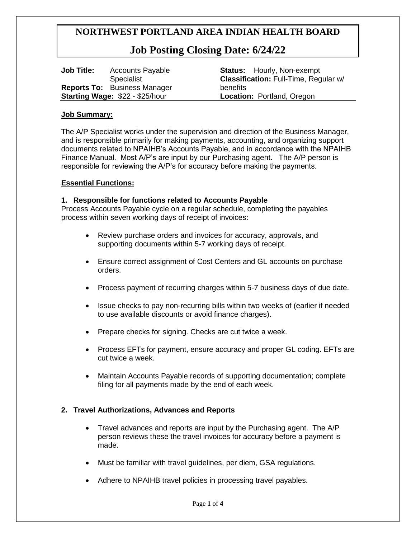## **Job Posting Closing Date: 6/24/22**

| <b>Job Title:</b>               | <b>Accounts Payable</b>             |
|---------------------------------|-------------------------------------|
|                                 | <b>Specialist</b>                   |
|                                 | <b>Reports To: Business Manager</b> |
| Starting Wage: \$22 - \$25/hour |                                     |

**Status:** Hourly, Non-exempt **Classification:** Full-Time, Regular w/ benefits **Location:** Portland, Oregon

#### **Job Summary:**

The A/P Specialist works under the supervision and direction of the Business Manager, and is responsible primarily for making payments, accounting, and organizing support documents related to NPAIHB's Accounts Payable, and in accordance with the NPAIHB Finance Manual. Most A/P's are input by our Purchasing agent. The A/P person is responsible for reviewing the A/P's for accuracy before making the payments.

#### **Essential Functions:**

#### **1. Responsible for functions related to Accounts Payable**

Process Accounts Payable cycle on a regular schedule, completing the payables process within seven working days of receipt of invoices:

- Review purchase orders and invoices for accuracy, approvals, and supporting documents within 5-7 working days of receipt.
- Ensure correct assignment of Cost Centers and GL accounts on purchase orders.
- Process payment of recurring charges within 5-7 business days of due date.
- Issue checks to pay non-recurring bills within two weeks of (earlier if needed to use available discounts or avoid finance charges).
- Prepare checks for signing. Checks are cut twice a week.
- Process EFTs for payment, ensure accuracy and proper GL coding. EFTs are cut twice a week.
- Maintain Accounts Payable records of supporting documentation; complete filing for all payments made by the end of each week.

#### **2. Travel Authorizations, Advances and Reports**

- Travel advances and reports are input by the Purchasing agent. The A/P person reviews these the travel invoices for accuracy before a payment is made.
- Must be familiar with travel guidelines, per diem, GSA regulations.
- Adhere to NPAIHB travel policies in processing travel payables.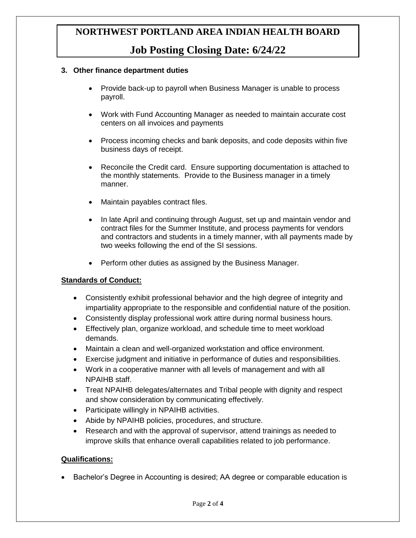## **Job Posting Closing Date: 6/24/22**

#### **3. Other finance department duties**

- Provide back-up to payroll when Business Manager is unable to process payroll.
- Work with Fund Accounting Manager as needed to maintain accurate cost centers on all invoices and payments
- Process incoming checks and bank deposits, and code deposits within five business days of receipt.
- Reconcile the Credit card. Ensure supporting documentation is attached to the monthly statements. Provide to the Business manager in a timely manner.
- Maintain payables contract files.
- In late April and continuing through August, set up and maintain vendor and contract files for the Summer Institute, and process payments for vendors and contractors and students in a timely manner, with all payments made by two weeks following the end of the SI sessions.
- Perform other duties as assigned by the Business Manager.

### **Standards of Conduct:**

- Consistently exhibit professional behavior and the high degree of integrity and impartiality appropriate to the responsible and confidential nature of the position.
- Consistently display professional work attire during normal business hours.
- Effectively plan, organize workload, and schedule time to meet workload demands.
- Maintain a clean and well-organized workstation and office environment.
- Exercise judgment and initiative in performance of duties and responsibilities.
- Work in a cooperative manner with all levels of management and with all NPAIHB staff.
- Treat NPAIHB delegates/alternates and Tribal people with dignity and respect and show consideration by communicating effectively.
- Participate willingly in NPAIHB activities.
- Abide by NPAIHB policies, procedures, and structure.
- Research and with the approval of supervisor, attend trainings as needed to improve skills that enhance overall capabilities related to job performance.

#### **Qualifications:**

Bachelor's Degree in Accounting is desired; AA degree or comparable education is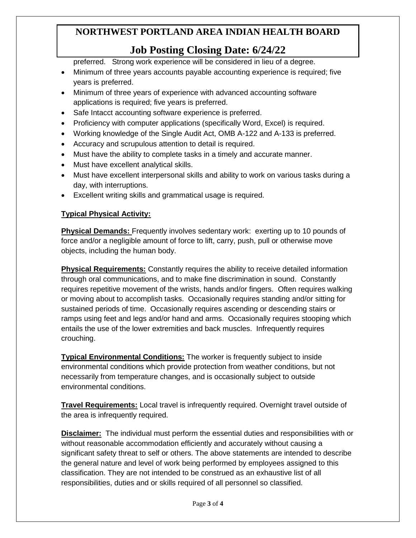# **Job Posting Closing Date: 6/24/22**

preferred. Strong work experience will be considered in lieu of a degree.

- Minimum of three years accounts payable accounting experience is required; five years is preferred.
- Minimum of three years of experience with advanced accounting software applications is required; five years is preferred.
- Safe Intacct accounting software experience is preferred.
- Proficiency with computer applications (specifically Word, Excel) is required.
- Working knowledge of the Single Audit Act, OMB A-122 and A-133 is preferred.
- Accuracy and scrupulous attention to detail is required.
- Must have the ability to complete tasks in a timely and accurate manner.
- Must have excellent analytical skills.
- Must have excellent interpersonal skills and ability to work on various tasks during a day, with interruptions.
- Excellent writing skills and grammatical usage is required.

### **Typical Physical Activity:**

**Physical Demands:** Frequently involves sedentary work: exerting up to 10 pounds of force and/or a negligible amount of force to lift, carry, push, pull or otherwise move objects, including the human body.

**Physical Requirements:** Constantly requires the ability to receive detailed information through oral communications, and to make fine discrimination in sound. Constantly requires repetitive movement of the wrists, hands and/or fingers. Often requires walking or moving about to accomplish tasks. Occasionally requires standing and/or sitting for sustained periods of time. Occasionally requires ascending or descending stairs or ramps using feet and legs and/or hand and arms. Occasionally requires stooping which entails the use of the lower extremities and back muscles. Infrequently requires crouching.

**Typical Environmental Conditions:** The worker is frequently subject to inside environmental conditions which provide protection from weather conditions, but not necessarily from temperature changes, and is occasionally subject to outside environmental conditions.

**Travel Requirements:** Local travel is infrequently required. Overnight travel outside of the area is infrequently required.

**Disclaimer:** The individual must perform the essential duties and responsibilities with or without reasonable accommodation efficiently and accurately without causing a significant safety threat to self or others. The above statements are intended to describe the general nature and level of work being performed by employees assigned to this classification. They are not intended to be construed as an exhaustive list of all responsibilities, duties and or skills required of all personnel so classified.